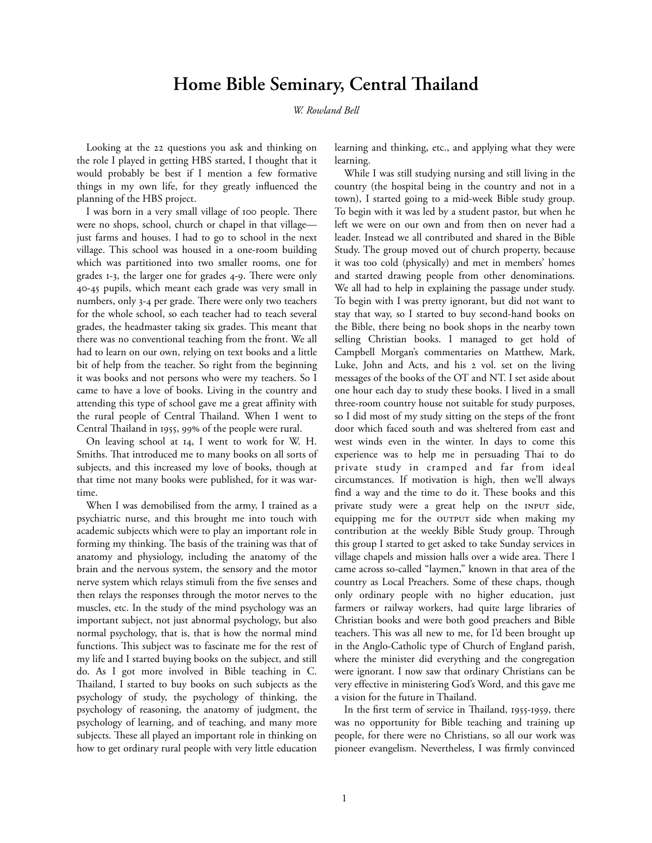# **Home Bible Seminary, Central Thailand**

*W. Rowland Bell*

Looking at the 22 questions you ask and thinking on the role I played in getting HBS started, I thought that it would probably be best if I mention a few formative things in my own life, for they greatly influenced the planning of the HBS project.

I was born in a very small village of 100 people. There were no shops, school, church or chapel in that village just farms and houses. I had to go to school in the next village. This school was housed in a one-room building which was partitioned into two smaller rooms, one for grades  $I-3$ , the larger one for grades  $4-9$ . There were only - pupils, which meant each grade was very small in numbers, only 3-4 per grade. There were only two teachers for the whole school, so each teacher had to teach several grades, the headmaster taking six grades. This meant that there was no conventional teaching from the front. We all had to learn on our own, relying on text books and a little bit of help from the teacher. So right from the beginning it was books and not persons who were my teachers. So I came to have a love of books. Living in the country and attending this type of school gave me a great affinity with the rural people of Central Thailand. When I went to Central Thailand in 1955, 99% of the people were rural.

On leaving school at 14, I went to work for W. H. Smiths. That introduced me to many books on all sorts of subjects, and this increased my love of books, though at that time not many books were published, for it was wartime.

When I was demobilised from the army, I trained as a psychiatric nurse, and this brought me into touch with academic subjects which were to play an important role in forming my thinking. The basis of the training was that of anatomy and physiology, including the anatomy of the brain and the nervous system, the sensory and the motor nerve system which relays stimuli from the five senses and then relays the responses through the motor nerves to the muscles, etc. In the study of the mind psychology was an important subject, not just abnormal psychology, but also normal psychology, that is, that is how the normal mind functions. This subject was to fascinate me for the rest of my life and I started buying books on the subject, and still do. As I got more involved in Bible teaching in C. Thailand, I started to buy books on such subjects as the psychology of study, the psychology of thinking, the psychology of reasoning, the anatomy of judgment, the psychology of learning, and of teaching, and many more subjects. These all played an important role in thinking on how to get ordinary rural people with very little education

learning and thinking, etc., and applying what they were learning.

While I was still studying nursing and still living in the country (the hospital being in the country and not in a town), I started going to a mid-week Bible study group. To begin with it was led by a student pastor, but when he left we were on our own and from then on never had a leader. Instead we all contributed and shared in the Bible Study. The group moved out of church property, because it was too cold (physically) and met in members' homes and started drawing people from other denominations. We all had to help in explaining the passage under study. To begin with I was pretty ignorant, but did not want to stay that way, so I started to buy second-hand books on the Bible, there being no book shops in the nearby town selling Christian books. I managed to get hold of Campbell Morgan's commentaries on Matthew, Mark, Luke, John and Acts, and his 2 vol. set on the living messages of the books of the OT and NT. I set aside about one hour each day to study these books. I lived in a small three-room country house not suitable for study purposes, so I did most of my study sitting on the steps of the front door which faced south and was sheltered from east and west winds even in the winter. In days to come this experience was to help me in persuading Thai to do private study in cramped and far from ideal circumstances. If motivation is high, then we'll always find a way and the time to do it. These books and this private study were a great help on the INPUT side, equipping me for the OUTPUT side when making my contribution at the weekly Bible Study group. Through this group I started to get asked to take Sunday services in village chapels and mission halls over a wide area. There I came across so-called "laymen," known in that area of the country as Local Preachers. Some of these chaps, though only ordinary people with no higher education, just farmers or railway workers, had quite large libraries of Christian books and were both good preachers and Bible teachers. This was all new to me, for I'd been brought up in the Anglo-Catholic type of Church of England parish, where the minister did everything and the congregation were ignorant. I now saw that ordinary Christians can be very effective in ministering God's Word, and this gave me a vision for the future in Thailand.

In the first term of service in Thailand, 1955-1959, there was no opportunity for Bible teaching and training up people, for there were no Christians, so all our work was pioneer evangelism. Nevertheless, I was firmly convinced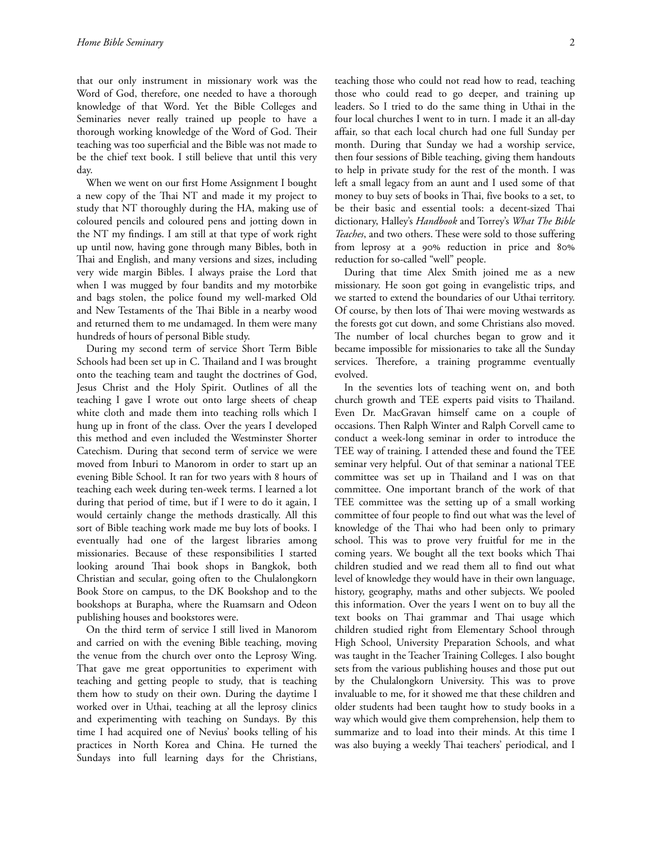that our only instrument in missionary work was the Word of God, therefore, one needed to have a thorough knowledge of that Word. Yet the Bible Colleges and Seminaries never really trained up people to have a thorough working knowledge of the Word of God. Their teaching was too superficial and the Bible was not made to be the chief text book. I still believe that until this very day.

When we went on our first Home Assignment I bought a new copy of the Thai NT and made it my project to study that NT thoroughly during the HA, making use of coloured pencils and coloured pens and jotting down in the NT my findings. I am still at that type of work right up until now, having gone through many Bibles, both in Thai and English, and many versions and sizes, including very wide margin Bibles. I always praise the Lord that when I was mugged by four bandits and my motorbike and bags stolen, the police found my well-marked Old and New Testaments of the Thai Bible in a nearby wood and returned them to me undamaged. In them were many hundreds of hours of personal Bible study.

During my second term of service Short Term Bible Schools had been set up in C. Thailand and I was brought onto the teaching team and taught the doctrines of God, Jesus Christ and the Holy Spirit. Outlines of all the teaching I gave I wrote out onto large sheets of cheap white cloth and made them into teaching rolls which I hung up in front of the class. Over the years I developed this method and even included the Westminster Shorter Catechism. During that second term of service we were moved from Inburi to Manorom in order to start up an evening Bible School. It ran for two years with 8 hours of teaching each week during ten-week terms. I learned a lot during that period of time, but if I were to do it again, I would certainly change the methods drastically. All this sort of Bible teaching work made me buy lots of books. I eventually had one of the largest libraries among missionaries. Because of these responsibilities I started looking around Thai book shops in Bangkok, both Christian and secular, going often to the Chulalongkorn Book Store on campus, to the DK Bookshop and to the bookshops at Burapha, where the Ruamsarn and Odeon publishing houses and bookstores were.

On the third term of service I still lived in Manorom and carried on with the evening Bible teaching, moving the venue from the church over onto the Leprosy Wing. That gave me great opportunities to experiment with teaching and getting people to study, that is teaching them how to study on their own. During the daytime I worked over in Uthai, teaching at all the leprosy clinics and experimenting with teaching on Sundays. By this time I had acquired one of Nevius' books telling of his practices in North Korea and China. He turned the Sundays into full learning days for the Christians,

teaching those who could not read how to read, teaching those who could read to go deeper, and training up leaders. So I tried to do the same thing in Uthai in the four local churches I went to in turn. I made it an all-day affair, so that each local church had one full Sunday per month. During that Sunday we had a worship service, then four sessions of Bible teaching, giving them handouts to help in private study for the rest of the month. I was left a small legacy from an aunt and I used some of that money to buy sets of books in Thai, five books to a set, to be their basic and essential tools: a decent-sized Thai dictionary, Halley's *Handbook* and Torrey's *What The Bible Teaches*, and two others. These were sold to those suffering from leprosy at a 90% reduction in price and 80% reduction for so-called "well" people.

During that time Alex Smith joined me as a new missionary. He soon got going in evangelistic trips, and we started to extend the boundaries of our Uthai territory. Of course, by then lots of Thai were moving westwards as the forests got cut down, and some Christians also moved. The number of local churches began to grow and it became impossible for missionaries to take all the Sunday services. Therefore, a training programme eventually evolved.

In the seventies lots of teaching went on, and both church growth and TEE experts paid visits to Thailand. Even Dr. MacGravan himself came on a couple of occasions. Then Ralph Winter and Ralph Corvell came to conduct a week-long seminar in order to introduce the TEE way of training. I attended these and found the TEE seminar very helpful. Out of that seminar a national TEE committee was set up in Thailand and I was on that committee. One important branch of the work of that TEE committee was the setting up of a small working committee of four people to find out what was the level of knowledge of the Thai who had been only to primary school. This was to prove very fruitful for me in the coming years. We bought all the text books which Thai children studied and we read them all to find out what level of knowledge they would have in their own language, history, geography, maths and other subjects. We pooled this information. Over the years I went on to buy all the text books on Thai grammar and Thai usage which children studied right from Elementary School through High School, University Preparation Schools, and what was taught in the Teacher Training Colleges. I also bought sets from the various publishing houses and those put out by the Chulalongkorn University. This was to prove invaluable to me, for it showed me that these children and older students had been taught how to study books in a way which would give them comprehension, help them to summarize and to load into their minds. At this time I was also buying a weekly Thai teachers' periodical, and I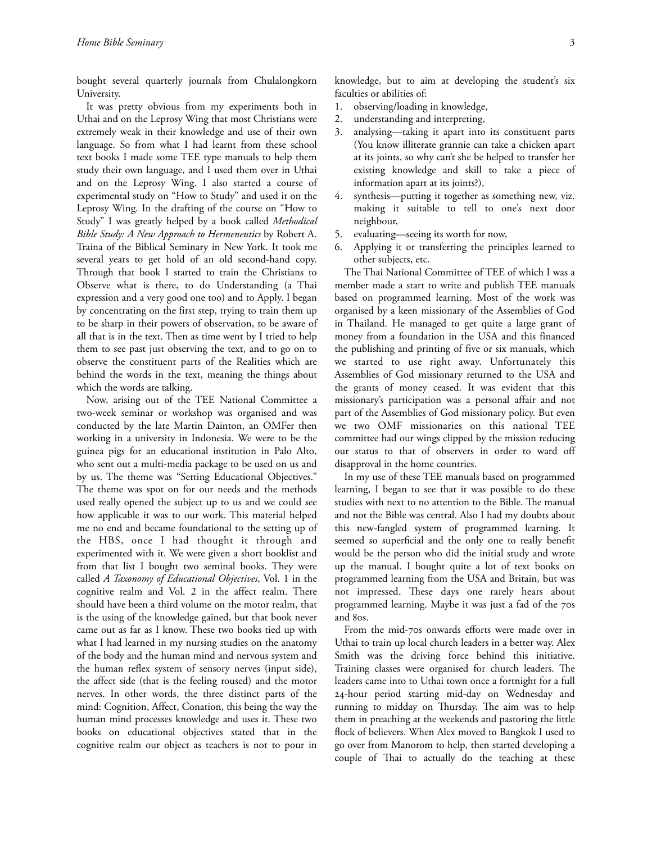bought several quarterly journals from Chulalongkorn University.

It was pretty obvious from my experiments both in Uthai and on the Leprosy Wing that most Christians were extremely weak in their knowledge and use of their own language. So from what I had learnt from these school text books I made some TEE type manuals to help them study their own language, and I used them over in Uthai and on the Leprosy Wing. I also started a course of experimental study on "How to Study" and used it on the Leprosy Wing. In the drafting of the course on "How to Study" I was greatly helped by a book called *Methodical Bible Study: A New Approach to Hermeneutics* by Robert A. Traina of the Biblical Seminary in New York. It took me several years to get hold of an old second-hand copy. Through that book I started to train the Christians to Observe what is there, to do Understanding (a Thai expression and a very good one too) and to Apply. I began by concentrating on the first step, trying to train them up to be sharp in their powers of observation, to be aware of all that is in the text. Then as time went by I tried to help them to see past just observing the text, and to go on to observe the constituent parts of the Realities which are behind the words in the text, meaning the things about which the words are talking.

Now, arising out of the TEE National Committee a two-week seminar or workshop was organised and was conducted by the late Martin Dainton, an OMFer then working in a university in Indonesia. We were to be the guinea pigs for an educational institution in Palo Alto, who sent out a multi-media package to be used on us and by us. The theme was "Setting Educational Objectives." The theme was spot on for our needs and the methods used really opened the subject up to us and we could see how applicable it was to our work. This material helped me no end and became foundational to the setting up of the HBS, once I had thought it through and experimented with it. We were given a short booklist and from that list I bought two seminal books. They were called *A Taxonomy of Educational Objectives*, Vol. 1 in the cognitive realm and Vol. 2 in the affect realm. There should have been a third volume on the motor realm, that is the using of the knowledge gained, but that book never came out as far as I know. These two books tied up with what I had learned in my nursing studies on the anatomy of the body and the human mind and nervous system and the human reflex system of sensory nerves (input side), the affect side (that is the feeling roused) and the motor nerves. In other words, the three distinct parts of the mind: Cognition, Affect, Conation, this being the way the human mind processes knowledge and uses it. These two books on educational objectives stated that in the cognitive realm our object as teachers is not to pour in

knowledge, but to aim at developing the student's six faculties or abilities of:

- 1. observing/loading in knowledge,
- 2. understanding and interpreting,
- 3. analysing—taking it apart into its constituent parts (You know illiterate grannie can take a chicken apart at its joints, so why can't she be helped to transfer her existing knowledge and skill to take a piece of information apart at its joints?),
- 4. synthesis—putting it together as something new, viz. making it suitable to tell to one's next door neighbour,
- 5. evaluating—seeing its worth for now,
- 6. Applying it or transferring the principles learned to other subjects, etc.

The Thai National Committee of TEE of which I was a member made a start to write and publish TEE manuals based on programmed learning. Most of the work was organised by a keen missionary of the Assemblies of God in Thailand. He managed to get quite a large grant of money from a foundation in the USA and this financed the publishing and printing of five or six manuals, which we started to use right away. Unfortunately this Assemblies of God missionary returned to the USA and the grants of money ceased. It was evident that this missionary's participation was a personal affair and not part of the Assemblies of God missionary policy. But even we two OMF missionaries on this national TEE committee had our wings clipped by the mission reducing our status to that of observers in order to ward off disapproval in the home countries.

In my use of these TEE manuals based on programmed learning, I began to see that it was possible to do these studies with next to no attention to the Bible. The manual and not the Bible was central. Also I had my doubts about this new-fangled system of programmed learning. It seemed so superficial and the only one to really benefit would be the person who did the initial study and wrote up the manual. I bought quite a lot of text books on programmed learning from the USA and Britain, but was not impressed. These days one rarely hears about programmed learning. Maybe it was just a fad of the 70s and 80s.

From the mid-70s onwards efforts were made over in Uthai to train up local church leaders in a better way. Alex Smith was the driving force behind this initiative. Training classes were organised for church leaders. The leaders came into to Uthai town once a fortnight for a full 24-hour period starting mid-day on Wednesday and running to midday on Thursday. The aim was to help them in preaching at the weekends and pastoring the little flock of believers. When Alex moved to Bangkok I used to go over from Manorom to help, then started developing a couple of Thai to actually do the teaching at these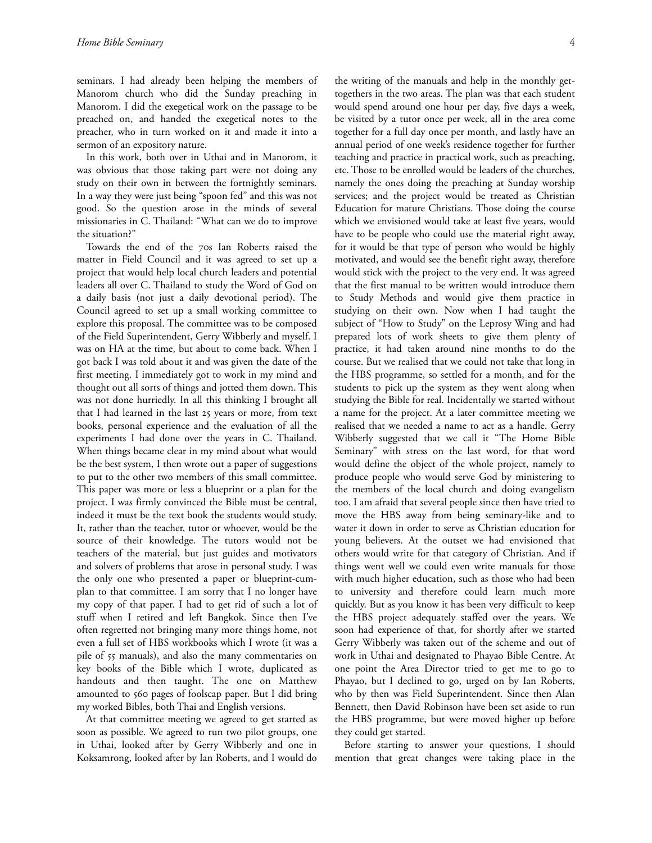seminars. I had already been helping the members of Manorom church who did the Sunday preaching in Manorom. I did the exegetical work on the passage to be preached on, and handed the exegetical notes to the preacher, who in turn worked on it and made it into a sermon of an expository nature.

In this work, both over in Uthai and in Manorom, it was obvious that those taking part were not doing any study on their own in between the fortnightly seminars. In a way they were just being "spoon fed" and this was not good. So the question arose in the minds of several missionaries in C. Thailand: "What can we do to improve the situation?"

Towards the end of the 70s Ian Roberts raised the matter in Field Council and it was agreed to set up a project that would help local church leaders and potential leaders all over C. Thailand to study the Word of God on a daily basis (not just a daily devotional period). The Council agreed to set up a small working committee to explore this proposal. The committee was to be composed of the Field Superintendent, Gerry Wibberly and myself. I was on HA at the time, but about to come back. When I got back I was told about it and was given the date of the first meeting. I immediately got to work in my mind and thought out all sorts of things and jotted them down. This was not done hurriedly. In all this thinking I brought all that I had learned in the last 25 years or more, from text books, personal experience and the evaluation of all the experiments I had done over the years in C. Thailand. When things became clear in my mind about what would be the best system, I then wrote out a paper of suggestions to put to the other two members of this small committee. This paper was more or less a blueprint or a plan for the project. I was firmly convinced the Bible must be central, indeed it must be the text book the students would study. It, rather than the teacher, tutor or whoever, would be the source of their knowledge. The tutors would not be teachers of the material, but just guides and motivators and solvers of problems that arose in personal study. I was the only one who presented a paper or blueprint-cumplan to that committee. I am sorry that I no longer have my copy of that paper. I had to get rid of such a lot of stuff when I retired and left Bangkok. Since then I've often regretted not bringing many more things home, not even a full set of HBS workbooks which I wrote (it was a pile of 55 manuals), and also the many commentaries on key books of the Bible which I wrote, duplicated as handouts and then taught. The one on Matthew amounted to 560 pages of foolscap paper. But I did bring my worked Bibles, both Thai and English versions.

At that committee meeting we agreed to get started as soon as possible. We agreed to run two pilot groups, one in Uthai, looked after by Gerry Wibberly and one in Koksamrong, looked after by Ian Roberts, and I would do

the writing of the manuals and help in the monthly gettogethers in the two areas. The plan was that each student would spend around one hour per day, five days a week, be visited by a tutor once per week, all in the area come together for a full day once per month, and lastly have an annual period of one week's residence together for further teaching and practice in practical work, such as preaching, etc. Those to be enrolled would be leaders of the churches, namely the ones doing the preaching at Sunday worship services; and the project would be treated as Christian Education for mature Christians. Those doing the course which we envisioned would take at least five years, would have to be people who could use the material right away, for it would be that type of person who would be highly motivated, and would see the benefit right away, therefore would stick with the project to the very end. It was agreed that the first manual to be written would introduce them to Study Methods and would give them practice in studying on their own. Now when I had taught the subject of "How to Study" on the Leprosy Wing and had prepared lots of work sheets to give them plenty of practice, it had taken around nine months to do the course. But we realised that we could not take that long in the HBS programme, so settled for a month, and for the students to pick up the system as they went along when studying the Bible for real. Incidentally we started without a name for the project. At a later committee meeting we realised that we needed a name to act as a handle. Gerry Wibberly suggested that we call it "The Home Bible Seminary" with stress on the last word, for that word would define the object of the whole project, namely to produce people who would serve God by ministering to the members of the local church and doing evangelism too. I am afraid that several people since then have tried to move the HBS away from being seminary-like and to water it down in order to serve as Christian education for young believers. At the outset we had envisioned that others would write for that category of Christian. And if things went well we could even write manuals for those with much higher education, such as those who had been to university and therefore could learn much more quickly. But as you know it has been very difficult to keep the HBS project adequately staffed over the years. We soon had experience of that, for shortly after we started Gerry Wibberly was taken out of the scheme and out of work in Uthai and designated to Phayao Bible Centre. At one point the Area Director tried to get me to go to Phayao, but I declined to go, urged on by Ian Roberts, who by then was Field Superintendent. Since then Alan Bennett, then David Robinson have been set aside to run the HBS programme, but were moved higher up before they could get started.

Before starting to answer your questions, I should mention that great changes were taking place in the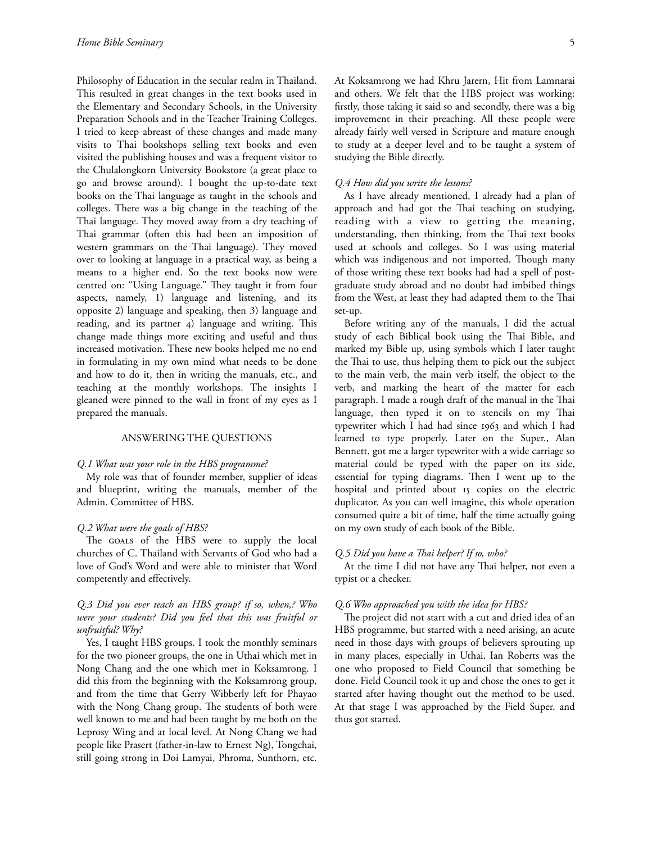Philosophy of Education in the secular realm in Thailand. This resulted in great changes in the text books used in the Elementary and Secondary Schools, in the University Preparation Schools and in the Teacher Training Colleges. I tried to keep abreast of these changes and made many visits to Thai bookshops selling text books and even visited the publishing houses and was a frequent visitor to the Chulalongkorn University Bookstore (a great place to go and browse around). I bought the up-to-date text books on the Thai language as taught in the schools and colleges. There was a big change in the teaching of the Thai language. They moved away from a dry teaching of Thai grammar (often this had been an imposition of western grammars on the Thai language). They moved over to looking at language in a practical way, as being a means to a higher end. So the text books now were centred on: "Using Language." They taught it from four aspects, namely, 1) language and listening, and its opposite 2) language and speaking, then 3) language and reading, and its partner  $4)$  language and writing. This change made things more exciting and useful and thus increased motivation. These new books helped me no end in formulating in my own mind what needs to be done and how to do it, then in writing the manuals, etc., and teaching at the monthly workshops. The insights I gleaned were pinned to the wall in front of my eyes as I prepared the manuals.

#### ANSWERING THE QUESTIONS

#### *Q.1 What was your role in the HBS programme?*

My role was that of founder member, supplier of ideas and blueprint, writing the manuals, member of the Admin. Committee of HBS.

#### *Q.2 What were the goals of HBS?*

The GOALS of the HBS were to supply the local churches of C. Thailand with Servants of God who had a love of God's Word and were able to minister that Word competently and effectively.

## *Q.3 Did you ever teach an HBS group? if so, when,? Who were your students? Did you feel that this was fruitful or unfruitful? Why?*

Yes, I taught HBS groups. I took the monthly seminars for the two pioneer groups, the one in Uthai which met in Nong Chang and the one which met in Koksamrong. I did this from the beginning with the Koksamrong group, and from the time that Gerry Wibberly left for Phayao with the Nong Chang group. The students of both were well known to me and had been taught by me both on the Leprosy Wing and at local level. At Nong Chang we had people like Prasert (father-in-law to Ernest Ng), Tongchai, still going strong in Doi Lamyai, Phroma, Sunthorn, etc.

At Koksamrong we had Khru Jarern, Hit from Lamnarai and others. We felt that the HBS project was working: firstly, those taking it said so and secondly, there was a big

improvement in their preaching. All these people were already fairly well versed in Scripture and mature enough to study at a deeper level and to be taught a system of studying the Bible directly.

#### *Q.4 How did you write the lessons?*

As I have already mentioned, I already had a plan of approach and had got the Thai teaching on studying, reading with a view to getting the meaning, understanding, then thinking, from the Thai text books used at schools and colleges. So I was using material which was indigenous and not imported. Though many of those writing these text books had had a spell of postgraduate study abroad and no doubt had imbibed things from the West, at least they had adapted them to the Thai set-up.

Before writing any of the manuals, I did the actual study of each Biblical book using the Thai Bible, and marked my Bible up, using symbols which I later taught the Thai to use, thus helping them to pick out the subject to the main verb, the main verb itself, the object to the verb, and marking the heart of the matter for each paragraph. I made a rough draft of the manual in the Thai language, then typed it on to stencils on my Thai typewriter which I had had since  $1963$  and which I had learned to type properly. Later on the Super., Alan Bennett, got me a larger typewriter with a wide carriage so material could be typed with the paper on its side, essential for typing diagrams. Then I went up to the hospital and printed about 15 copies on the electric duplicator. As you can well imagine, this whole operation consumed quite a bit of time, half the time actually going on my own study of each book of the Bible.

#### *Q.5 Did you have a Thai helper? If so, who?*

At the time I did not have any Thai helper, not even a typist or a checker.

#### *Q.6 Who approached you with the idea for HBS?*

The project did not start with a cut and dried idea of an HBS programme, but started with a need arising, an acute need in those days with groups of believers sprouting up in many places, especially in Uthai. Ian Roberts was the one who proposed to Field Council that something be done. Field Council took it up and chose the ones to get it started after having thought out the method to be used. At that stage I was approached by the Field Super. and thus got started.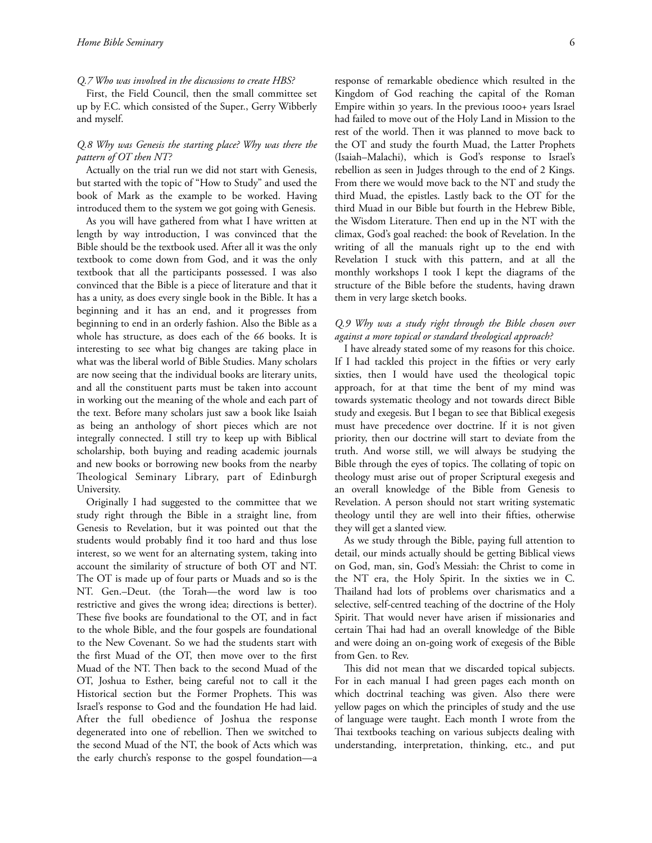### *Q.7 Who was involved in the discussions to create HBS?*

First, the Field Council, then the small committee set up by F.C. which consisted of the Super., Gerry Wibberly and myself.

## *Q.8 Why was Genesis the starting place? Why was there the pattern of OT then NT?*

Actually on the trial run we did not start with Genesis, but started with the topic of "How to Study" and used the book of Mark as the example to be worked. Having introduced them to the system we got going with Genesis.

As you will have gathered from what I have written at length by way introduction, I was convinced that the Bible should be the textbook used. After all it was the only textbook to come down from God, and it was the only textbook that all the participants possessed. I was also convinced that the Bible is a piece of literature and that it has a unity, as does every single book in the Bible. It has a beginning and it has an end, and it progresses from beginning to end in an orderly fashion. Also the Bible as a whole has structure, as does each of the 66 books. It is interesting to see what big changes are taking place in what was the liberal world of Bible Studies. Many scholars are now seeing that the individual books are literary units, and all the constituent parts must be taken into account in working out the meaning of the whole and each part of the text. Before many scholars just saw a book like Isaiah as being an anthology of short pieces which are not integrally connected. I still try to keep up with Biblical scholarship, both buying and reading academic journals and new books or borrowing new books from the nearby Theological Seminary Library, part of Edinburgh University.

Originally I had suggested to the committee that we study right through the Bible in a straight line, from Genesis to Revelation, but it was pointed out that the students would probably find it too hard and thus lose interest, so we went for an alternating system, taking into account the similarity of structure of both OT and NT. The OT is made up of four parts or Muads and so is the NT. Gen.–Deut. (the Torah—the word law is too restrictive and gives the wrong idea; directions is better). These five books are foundational to the OT, and in fact to the whole Bible, and the four gospels are foundational to the New Covenant. So we had the students start with the first Muad of the OT, then move over to the first Muad of the NT. Then back to the second Muad of the OT, Joshua to Esther, being careful not to call it the Historical section but the Former Prophets. This was Israel's response to God and the foundation He had laid. After the full obedience of Joshua the response degenerated into one of rebellion. Then we switched to the second Muad of the NT, the book of Acts which was the early church's response to the gospel foundation—a

response of remarkable obedience which resulted in the Kingdom of God reaching the capital of the Roman Empire within 30 years. In the previous 1000+ years Israel had failed to move out of the Holy Land in Mission to the rest of the world. Then it was planned to move back to the OT and study the fourth Muad, the Latter Prophets (Isaiah–Malachi), which is God's response to Israel's rebellion as seen in Judges through to the end of 2 Kings. From there we would move back to the NT and study the third Muad, the epistles. Lastly back to the OT for the third Muad in our Bible but fourth in the Hebrew Bible, the Wisdom Literature. Then end up in the NT with the climax, God's goal reached: the book of Revelation. In the writing of all the manuals right up to the end with Revelation I stuck with this pattern, and at all the monthly workshops I took I kept the diagrams of the structure of the Bible before the students, having drawn them in very large sketch books.

## *Q.9 Why was a study right through the Bible chosen over against a more topical or standard theological approach?*

I have already stated some of my reasons for this choice. If I had tackled this project in the fifties or very early sixties, then I would have used the theological topic approach, for at that time the bent of my mind was towards systematic theology and not towards direct Bible study and exegesis. But I began to see that Biblical exegesis must have precedence over doctrine. If it is not given priority, then our doctrine will start to deviate from the truth. And worse still, we will always be studying the Bible through the eyes of topics. The collating of topic on theology must arise out of proper Scriptural exegesis and an overall knowledge of the Bible from Genesis to Revelation. A person should not start writing systematic theology until they are well into their fifties, otherwise they will get a slanted view.

As we study through the Bible, paying full attention to detail, our minds actually should be getting Biblical views on God, man, sin, God's Messiah: the Christ to come in the NT era, the Holy Spirit. In the sixties we in C. Thailand had lots of problems over charismatics and a selective, self-centred teaching of the doctrine of the Holy Spirit. That would never have arisen if missionaries and certain Thai had had an overall knowledge of the Bible and were doing an on-going work of exegesis of the Bible from Gen. to Rev.

This did not mean that we discarded topical subjects. For in each manual I had green pages each month on which doctrinal teaching was given. Also there were yellow pages on which the principles of study and the use of language were taught. Each month I wrote from the Thai textbooks teaching on various subjects dealing with understanding, interpretation, thinking, etc., and put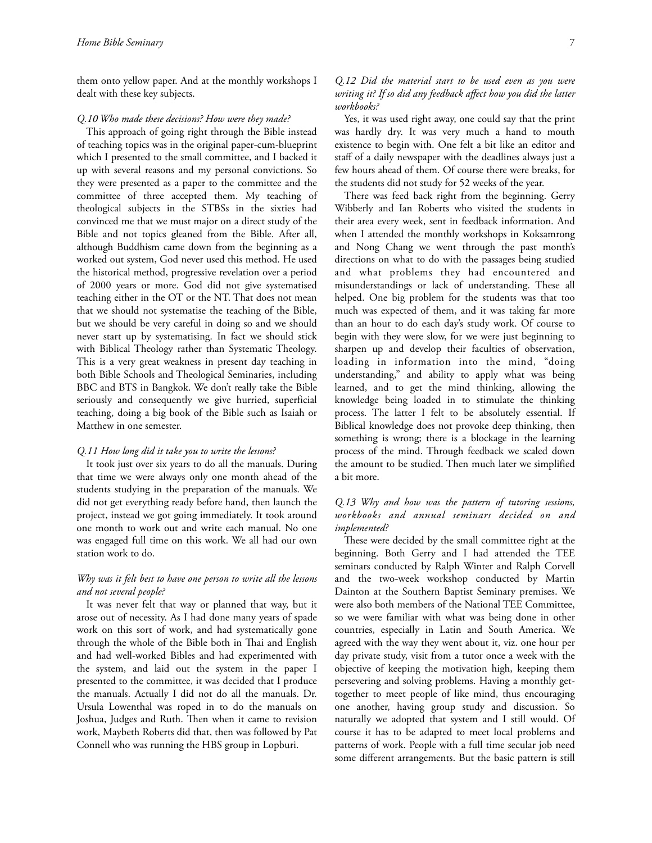them onto yellow paper. And at the monthly workshops I dealt with these key subjects.

#### *Q.10 Who made these decisions? How were they made?*

This approach of going right through the Bible instead of teaching topics was in the original paper-cum-blueprint which I presented to the small committee, and I backed it up with several reasons and my personal convictions. So they were presented as a paper to the committee and the committee of three accepted them. My teaching of theological subjects in the STBSs in the sixties had convinced me that we must major on a direct study of the Bible and not topics gleaned from the Bible. After all, although Buddhism came down from the beginning as a worked out system, God never used this method. He used the historical method, progressive revelation over a period of 2000 years or more. God did not give systematised teaching either in the OT or the NT. That does not mean that we should not systematise the teaching of the Bible, but we should be very careful in doing so and we should never start up by systematising. In fact we should stick with Biblical Theology rather than Systematic Theology. This is a very great weakness in present day teaching in both Bible Schools and Theological Seminaries, including BBC and BTS in Bangkok. We don't really take the Bible seriously and consequently we give hurried, superficial teaching, doing a big book of the Bible such as Isaiah or Matthew in one semester.

#### *Q.11 How long did it take you to write the lessons?*

It took just over six years to do all the manuals. During that time we were always only one month ahead of the students studying in the preparation of the manuals. We did not get everything ready before hand, then launch the project, instead we got going immediately. It took around one month to work out and write each manual. No one was engaged full time on this work. We all had our own station work to do.

## *Why was it felt best to have one person to write all the lessons and not several people?*

It was never felt that way or planned that way, but it arose out of necessity. As I had done many years of spade work on this sort of work, and had systematically gone through the whole of the Bible both in Thai and English and had well-worked Bibles and had experimented with the system, and laid out the system in the paper I presented to the committee, it was decided that I produce the manuals. Actually I did not do all the manuals. Dr. Ursula Lowenthal was roped in to do the manuals on Joshua, Judges and Ruth. Then when it came to revision work, Maybeth Roberts did that, then was followed by Pat Connell who was running the HBS group in Lopburi.

*Q.12 Did the material start to be used even as you were writing it? If so did any feedback affect how you did the latter workbooks?*

Yes, it was used right away, one could say that the print was hardly dry. It was very much a hand to mouth existence to begin with. One felt a bit like an editor and staff of a daily newspaper with the deadlines always just a few hours ahead of them. Of course there were breaks, for the students did not study for 52 weeks of the year.

There was feed back right from the beginning. Gerry Wibberly and Ian Roberts who visited the students in their area every week, sent in feedback information. And when I attended the monthly workshops in Koksamrong and Nong Chang we went through the past month's directions on what to do with the passages being studied and what problems they had encountered and misunderstandings or lack of understanding. These all helped. One big problem for the students was that too much was expected of them, and it was taking far more than an hour to do each day's study work. Of course to begin with they were slow, for we were just beginning to sharpen up and develop their faculties of observation, loading in information into the mind, "doing understanding," and ability to apply what was being learned, and to get the mind thinking, allowing the knowledge being loaded in to stimulate the thinking process. The latter I felt to be absolutely essential. If Biblical knowledge does not provoke deep thinking, then something is wrong; there is a blockage in the learning process of the mind. Through feedback we scaled down the amount to be studied. Then much later we simplified a bit more.

## *Q.13 Why and how was the pattern of tutoring sessions, workbooks and annual seminars decided on and implemented?*

These were decided by the small committee right at the beginning. Both Gerry and I had attended the TEE seminars conducted by Ralph Winter and Ralph Corvell and the two-week workshop conducted by Martin Dainton at the Southern Baptist Seminary premises. We were also both members of the National TEE Committee, so we were familiar with what was being done in other countries, especially in Latin and South America. We agreed with the way they went about it, viz. one hour per day private study, visit from a tutor once a week with the objective of keeping the motivation high, keeping them persevering and solving problems. Having a monthly gettogether to meet people of like mind, thus encouraging one another, having group study and discussion. So naturally we adopted that system and I still would. Of course it has to be adapted to meet local problems and patterns of work. People with a full time secular job need some different arrangements. But the basic pattern is still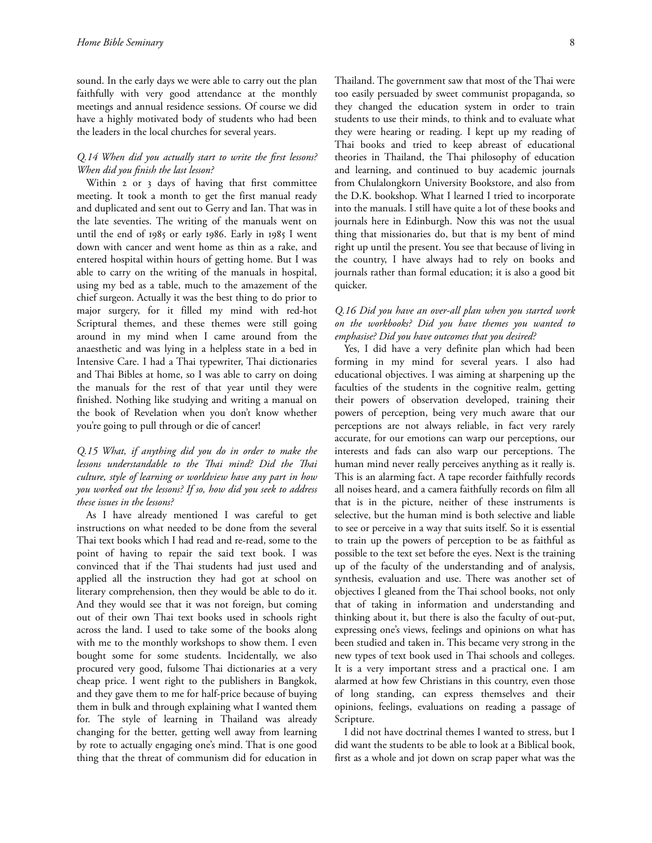sound. In the early days we were able to carry out the plan faithfully with very good attendance at the monthly meetings and annual residence sessions. Of course we did have a highly motivated body of students who had been the leaders in the local churches for several years.

## *Q.14 When did you actually start to write the first lessons? When did you finish the last lesson?*

Within 2 or 3 days of having that first committee meeting. It took a month to get the first manual ready and duplicated and sent out to Gerry and Ian. That was in the late seventies. The writing of the manuals went on until the end of 1985 or early 1986. Early in 1985 I went down with cancer and went home as thin as a rake, and entered hospital within hours of getting home. But I was able to carry on the writing of the manuals in hospital, using my bed as a table, much to the amazement of the chief surgeon. Actually it was the best thing to do prior to major surgery, for it filled my mind with red-hot Scriptural themes, and these themes were still going around in my mind when I came around from the anaesthetic and was lying in a helpless state in a bed in Intensive Care. I had a Thai typewriter, Thai dictionaries and Thai Bibles at home, so I was able to carry on doing the manuals for the rest of that year until they were finished. Nothing like studying and writing a manual on the book of Revelation when you don't know whether you're going to pull through or die of cancer!

## *Q.15 What, if anything did you do in order to make the lessons understandable to the Thai mind? Did the Thai culture, style of learning or worldview have any part in how you worked out the lessons? If so, how did you seek to address these issues in the lessons?*

As I have already mentioned I was careful to get instructions on what needed to be done from the several Thai text books which I had read and re-read, some to the point of having to repair the said text book. I was convinced that if the Thai students had just used and applied all the instruction they had got at school on literary comprehension, then they would be able to do it. And they would see that it was not foreign, but coming out of their own Thai text books used in schools right across the land. I used to take some of the books along with me to the monthly workshops to show them. I even bought some for some students. Incidentally, we also procured very good, fulsome Thai dictionaries at a very cheap price. I went right to the publishers in Bangkok, and they gave them to me for half-price because of buying them in bulk and through explaining what I wanted them for. The style of learning in Thailand was already changing for the better, getting well away from learning by rote to actually engaging one's mind. That is one good thing that the threat of communism did for education in

Thailand. The government saw that most of the Thai were too easily persuaded by sweet communist propaganda, so they changed the education system in order to train students to use their minds, to think and to evaluate what they were hearing or reading. I kept up my reading of Thai books and tried to keep abreast of educational theories in Thailand, the Thai philosophy of education and learning, and continued to buy academic journals from Chulalongkorn University Bookstore, and also from the D.K. bookshop. What I learned I tried to incorporate into the manuals. I still have quite a lot of these books and journals here in Edinburgh. Now this was not the usual thing that missionaries do, but that is my bent of mind right up until the present. You see that because of living in the country, I have always had to rely on books and journals rather than formal education; it is also a good bit quicker.

## *Q.16 Did you have an over-all plan when you started work on the workbooks? Did you have themes you wanted to emphasise? Did you have outcomes that you desired?*

Yes, I did have a very definite plan which had been forming in my mind for several years. I also had educational objectives. I was aiming at sharpening up the faculties of the students in the cognitive realm, getting their powers of observation developed, training their powers of perception, being very much aware that our perceptions are not always reliable, in fact very rarely accurate, for our emotions can warp our perceptions, our interests and fads can also warp our perceptions. The human mind never really perceives anything as it really is. This is an alarming fact. A tape recorder faithfully records all noises heard, and a camera faithfully records on film all that is in the picture, neither of these instruments is selective, but the human mind is both selective and liable to see or perceive in a way that suits itself. So it is essential to train up the powers of perception to be as faithful as possible to the text set before the eyes. Next is the training up of the faculty of the understanding and of analysis, synthesis, evaluation and use. There was another set of objectives I gleaned from the Thai school books, not only that of taking in information and understanding and thinking about it, but there is also the faculty of out-put, expressing one's views, feelings and opinions on what has been studied and taken in. This became very strong in the new types of text book used in Thai schools and colleges. It is a very important stress and a practical one. I am alarmed at how few Christians in this country, even those of long standing, can express themselves and their opinions, feelings, evaluations on reading a passage of Scripture.

I did not have doctrinal themes I wanted to stress, but I did want the students to be able to look at a Biblical book, first as a whole and jot down on scrap paper what was the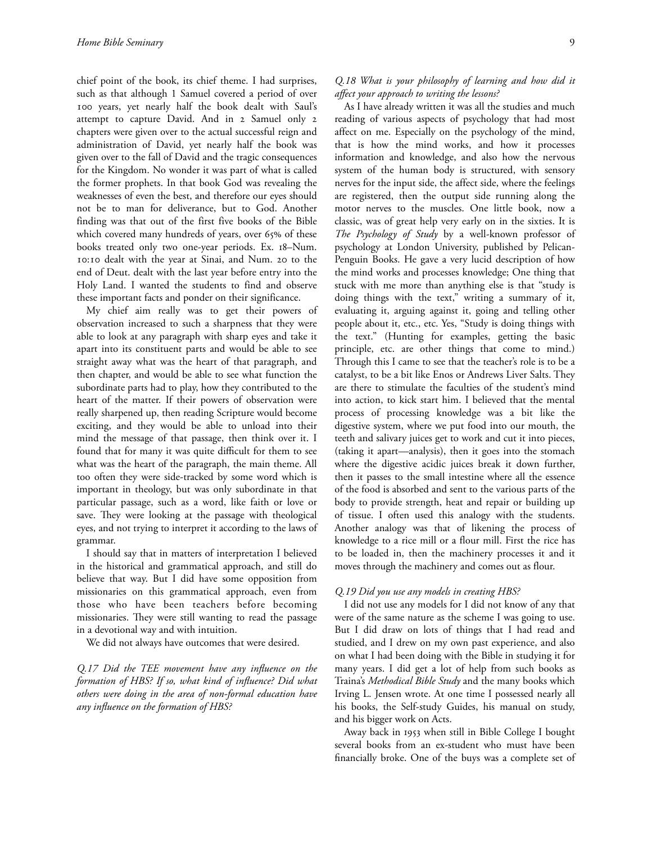chief point of the book, its chief theme. I had surprises, such as that although 1 Samuel covered a period of over 100 years, yet nearly half the book dealt with Saul's attempt to capture David. And in 2 Samuel only 2 chapters were given over to the actual successful reign and administration of David, yet nearly half the book was given over to the fall of David and the tragic consequences for the Kingdom. No wonder it was part of what is called the former prophets. In that book God was revealing the weaknesses of even the best, and therefore our eyes should not be to man for deliverance, but to God. Another finding was that out of the first five books of the Bible which covered many hundreds of years, over 65% of these books treated only two one-year periods. Ex. 18-Num. 10:10 dealt with the year at Sinai, and Num. 20 to the end of Deut. dealt with the last year before entry into the Holy Land. I wanted the students to find and observe these important facts and ponder on their significance.

My chief aim really was to get their powers of observation increased to such a sharpness that they were able to look at any paragraph with sharp eyes and take it apart into its constituent parts and would be able to see straight away what was the heart of that paragraph, and then chapter, and would be able to see what function the subordinate parts had to play, how they contributed to the heart of the matter. If their powers of observation were really sharpened up, then reading Scripture would become exciting, and they would be able to unload into their mind the message of that passage, then think over it. I found that for many it was quite difficult for them to see what was the heart of the paragraph, the main theme. All too often they were side-tracked by some word which is important in theology, but was only subordinate in that particular passage, such as a word, like faith or love or save. They were looking at the passage with theological eyes, and not trying to interpret it according to the laws of grammar.

I should say that in matters of interpretation I believed in the historical and grammatical approach, and still do believe that way. But I did have some opposition from missionaries on this grammatical approach, even from those who have been teachers before becoming missionaries. They were still wanting to read the passage in a devotional way and with intuition.

We did not always have outcomes that were desired.

*Q.17 Did the TEE movement have any influence on the formation of HBS? If so, what kind of influence? Did what others were doing in the area of non-formal education have any influence on the formation of HBS?*

## *Q.18 What is your philosophy of learning and how did it affect your approach to writing the lessons?*

As I have already written it was all the studies and much reading of various aspects of psychology that had most affect on me. Especially on the psychology of the mind, that is how the mind works, and how it processes information and knowledge, and also how the nervous system of the human body is structured, with sensory nerves for the input side, the affect side, where the feelings are registered, then the output side running along the motor nerves to the muscles. One little book, now a classic, was of great help very early on in the sixties. It is *The Psychology of Study* by a well-known professor of psychology at London University, published by Pelican-Penguin Books. He gave a very lucid description of how the mind works and processes knowledge; One thing that stuck with me more than anything else is that "study is doing things with the text," writing a summary of it, evaluating it, arguing against it, going and telling other people about it, etc., etc. Yes, "Study is doing things with the text." (Hunting for examples, getting the basic principle, etc. are other things that come to mind.) Through this I came to see that the teacher's role is to be a catalyst, to be a bit like Enos or Andrews Liver Salts. They are there to stimulate the faculties of the student's mind into action, to kick start him. I believed that the mental process of processing knowledge was a bit like the digestive system, where we put food into our mouth, the teeth and salivary juices get to work and cut it into pieces, (taking it apart—analysis), then it goes into the stomach where the digestive acidic juices break it down further, then it passes to the small intestine where all the essence of the food is absorbed and sent to the various parts of the body to provide strength, heat and repair or building up of tissue. I often used this analogy with the students. Another analogy was that of likening the process of knowledge to a rice mill or a flour mill. First the rice has to be loaded in, then the machinery processes it and it moves through the machinery and comes out as flour.

### *Q.19 Did you use any models in creating HBS?*

I did not use any models for I did not know of any that were of the same nature as the scheme I was going to use. But I did draw on lots of things that I had read and studied, and I drew on my own past experience, and also on what I had been doing with the Bible in studying it for many years. I did get a lot of help from such books as Traina's *Methodical Bible Study* and the many books which Irving L. Jensen wrote. At one time I possessed nearly all his books, the Self-study Guides, his manual on study, and his bigger work on Acts.

Away back in 1953 when still in Bible College I bought several books from an ex-student who must have been financially broke. One of the buys was a complete set of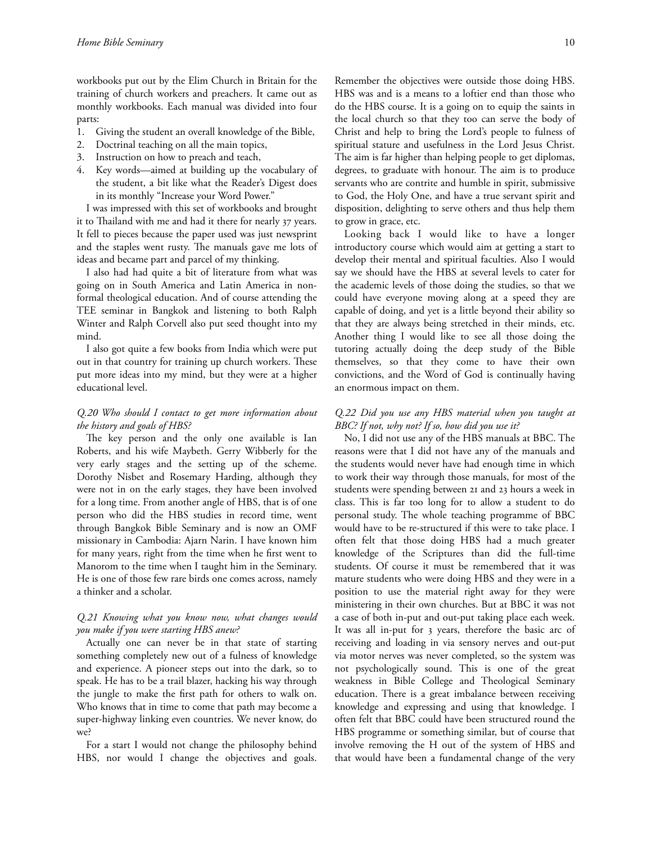workbooks put out by the Elim Church in Britain for the training of church workers and preachers. It came out as monthly workbooks. Each manual was divided into four parts:

- 1. Giving the student an overall knowledge of the Bible,
- 2. Doctrinal teaching on all the main topics,
- 3. Instruction on how to preach and teach,
- 4. Key words—aimed at building up the vocabulary of the student, a bit like what the Reader's Digest does in its monthly "Increase your Word Power."

I was impressed with this set of workbooks and brought it to Thailand with me and had it there for nearly 37 years. It fell to pieces because the paper used was just newsprint and the staples went rusty. The manuals gave me lots of ideas and became part and parcel of my thinking.

I also had had quite a bit of literature from what was going on in South America and Latin America in nonformal theological education. And of course attending the TEE seminar in Bangkok and listening to both Ralph Winter and Ralph Corvell also put seed thought into my mind.

I also got quite a few books from India which were put out in that country for training up church workers. These put more ideas into my mind, but they were at a higher educational level.

## *Q.20 Who should I contact to get more information about the history and goals of HBS?*

The key person and the only one available is Ian Roberts, and his wife Maybeth. Gerry Wibberly for the very early stages and the setting up of the scheme. Dorothy Nisbet and Rosemary Harding, although they were not in on the early stages, they have been involved for a long time. From another angle of HBS, that is of one person who did the HBS studies in record time, went through Bangkok Bible Seminary and is now an OMF missionary in Cambodia: Ajarn Narin. I have known him for many years, right from the time when he first went to Manorom to the time when I taught him in the Seminary. He is one of those few rare birds one comes across, namely a thinker and a scholar.

## *Q.21 Knowing what you know now, what changes would you make if you were starting HBS anew?*

Actually one can never be in that state of starting something completely new out of a fulness of knowledge and experience. A pioneer steps out into the dark, so to speak. He has to be a trail blazer, hacking his way through the jungle to make the first path for others to walk on. Who knows that in time to come that path may become a super-highway linking even countries. We never know, do we?

For a start I would not change the philosophy behind HBS, nor would I change the objectives and goals.

Remember the objectives were outside those doing HBS. HBS was and is a means to a loftier end than those who do the HBS course. It is a going on to equip the saints in the local church so that they too can serve the body of Christ and help to bring the Lord's people to fulness of spiritual stature and usefulness in the Lord Jesus Christ. The aim is far higher than helping people to get diplomas, degrees, to graduate with honour. The aim is to produce servants who are contrite and humble in spirit, submissive to God, the Holy One, and have a true servant spirit and disposition, delighting to serve others and thus help them to grow in grace, etc.

Looking back I would like to have a longer introductory course which would aim at getting a start to develop their mental and spiritual faculties. Also I would say we should have the HBS at several levels to cater for the academic levels of those doing the studies, so that we could have everyone moving along at a speed they are capable of doing, and yet is a little beyond their ability so that they are always being stretched in their minds, etc. Another thing I would like to see all those doing the tutoring actually doing the deep study of the Bible themselves, so that they come to have their own convictions, and the Word of God is continually having an enormous impact on them.

## *Q.22 Did you use any HBS material when you taught at BBC? If not, why not? If so, how did you use it?*

No, I did not use any of the HBS manuals at BBC. The reasons were that I did not have any of the manuals and the students would never have had enough time in which to work their way through those manuals, for most of the students were spending between 21 and 23 hours a week in class. This is far too long for to allow a student to do personal study. The whole teaching programme of BBC would have to be re-structured if this were to take place. I often felt that those doing HBS had a much greater knowledge of the Scriptures than did the full-time students. Of course it must be remembered that it was mature students who were doing HBS and they were in a position to use the material right away for they were ministering in their own churches. But at BBC it was not a case of both in-put and out-put taking place each week. It was all in-put for 3 years, therefore the basic arc of receiving and loading in via sensory nerves and out-put via motor nerves was never completed, so the system was not psychologically sound. This is one of the great weakness in Bible College and Theological Seminary education. There is a great imbalance between receiving knowledge and expressing and using that knowledge. I often felt that BBC could have been structured round the HBS programme or something similar, but of course that involve removing the H out of the system of HBS and that would have been a fundamental change of the very